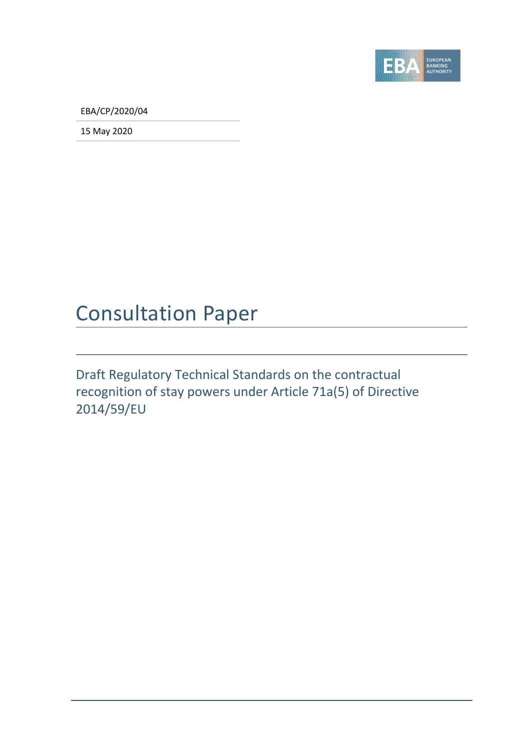

EBA/CP/2020/04

15 May 2020

## Consultation Paper

Draft Regulatory Technical Standards on the contractual recognition of stay powers under Article 71a(5) of Directive 2014/59/EU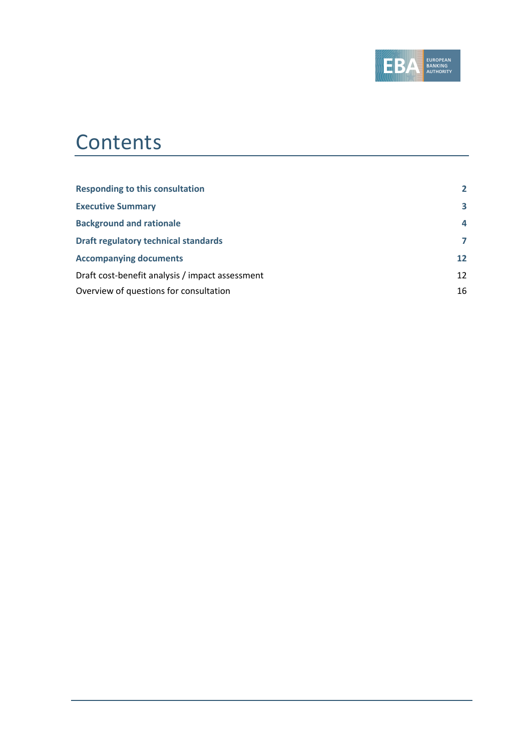

# **Contents**

| <b>Responding to this consultation</b>          | $\overline{2}$ |
|-------------------------------------------------|----------------|
| <b>Executive Summary</b>                        | 3              |
| <b>Background and rationale</b>                 | 4              |
| <b>Draft regulatory technical standards</b>     | 7              |
| <b>Accompanying documents</b>                   | 12             |
| Draft cost-benefit analysis / impact assessment | 12             |
| Overview of questions for consultation          | 16             |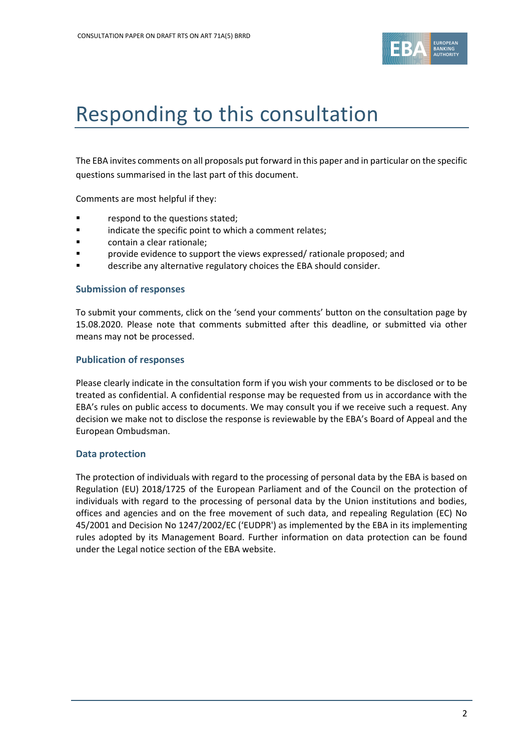

# <span id="page-2-0"></span>Responding to this consultation

The EBA invites comments on all proposals put forward in this paper and in particular on the specific questions summarised in the last part of this document.

Comments are most helpful if they:

- respond to the questions stated;
- **Example 1** indicate the specific point to which a comment relates;
- **Example:** contain a clear rationale;
- provide evidence to support the views expressed/ rationale proposed; and
- describe any alternative regulatory choices the EBA should consider.

#### **Submission of responses**

To submit your comments, click on the 'send your comments' button on the consultation page by 15.08.2020. Please note that comments submitted after this deadline, or submitted via other means may not be processed.

#### **Publication of responses**

Please clearly indicate in the consultation form if you wish your comments to be disclosed or to be treated as confidential. A confidential response may be requested from us in accordance with the EBA's rules on public access to documents. We may consult you if we receive such a request. Any decision we make not to disclose the response is reviewable by the EBA's Board of Appeal and the European Ombudsman.

#### **Data protection**

The protection of individuals with regard to the processing of personal data by the EBA is based on Regulation (EU) 2018/1725 of the European Parliament and of the Council on the protection of individuals with regard to the processing of personal data by the Union institutions and bodies, offices and agencies and on the free movement of such data, and repealing Regulation (EC) No 45/2001 and Decision No 1247/2002/EC ('EUDPR') as implemented by the EBA in its implementing rules adopted by its Management Board. Further information on data protection can be found under the [Legal notice section](http://eba.europa.eu/legal-notice) of the EBA website.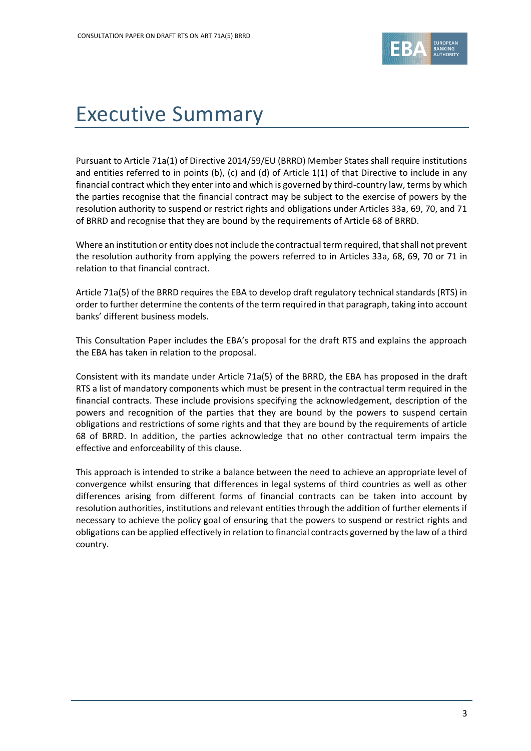

# <span id="page-3-0"></span>Executive Summary

Pursuant to Article 71a(1) of Directive 2014/59/EU (BRRD) Member States shall require institutions and entities referred to in points (b), (c) and (d) of Article 1(1) of that Directive to include in any financial contract which they enter into and which is governed by third-country law, terms by which the parties recognise that the financial contract may be subject to the exercise of powers by the resolution authority to suspend or restrict rights and obligations under Articles 33a, 69, 70, and 71 of BRRD and recognise that they are bound by the requirements of Article 68 of BRRD.

Where an institution or entity does not include the contractual term required, that shall not prevent the resolution authority from applying the powers referred to in Articles 33a, 68, 69, 70 or 71 in relation to that financial contract.

Article 71a(5) of the BRRD requires the EBA to develop draft regulatory technical standards (RTS) in order to further determine the contents of the term required in that paragraph, taking into account banks' different business models.

This Consultation Paper includes the EBA's proposal for the draft RTS and explains the approach the EBA has taken in relation to the proposal.

Consistent with its mandate under Article 71a(5) of the BRRD, the EBA has proposed in the draft RTS a list of mandatory components which must be present in the contractual term required in the financial contracts. These include provisions specifying the acknowledgement, description of the powers and recognition of the parties that they are bound by the powers to suspend certain obligations and restrictions of some rights and that they are bound by the requirements of article 68 of BRRD. In addition, the parties acknowledge that no other contractual term impairs the effective and enforceability of this clause.

This approach is intended to strike a balance between the need to achieve an appropriate level of convergence whilst ensuring that differences in legal systems of third countries as well as other differences arising from different forms of financial contracts can be taken into account by resolution authorities, institutions and relevant entities through the addition of further elements if necessary to achieve the policy goal of ensuring that the powers to suspend or restrict rights and obligations can be applied effectively in relation to financial contracts governed by the law of a third country.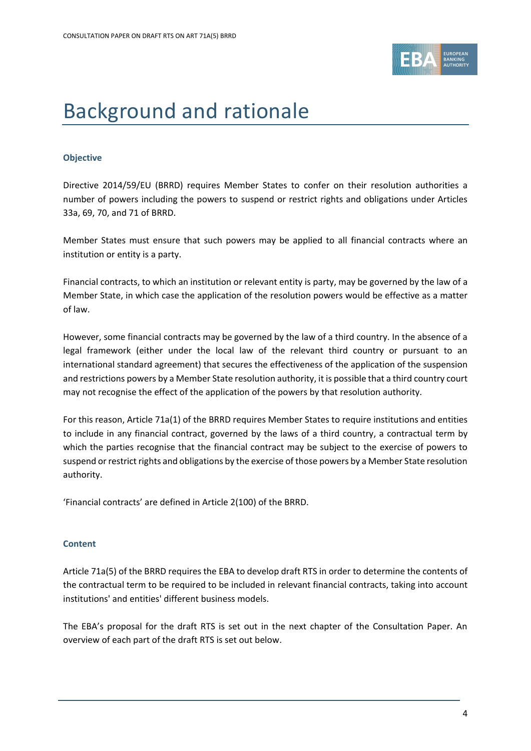

# <span id="page-4-0"></span>Background and rationale

#### **Objective**

Directive 2014/59/EU (BRRD) requires Member States to confer on their resolution authorities a number of powers including the powers to suspend or restrict rights and obligations under Articles 33a, 69, 70, and 71 of BRRD.

Member States must ensure that such powers may be applied to all financial contracts where an institution or entity is a party.

Financial contracts, to which an institution or relevant entity is party, may be governed by the law of a Member State, in which case the application of the resolution powers would be effective as a matter of law.

However, some financial contracts may be governed by the law of a third country. In the absence of a legal framework (either under the local law of the relevant third country or pursuant to an international standard agreement) that secures the effectiveness of the application of the suspension and restrictions powers by a Member State resolution authority, it is possible that a third country court may not recognise the effect of the application of the powers by that resolution authority.

For this reason, Article 71a(1) of the BRRD requires Member States to require institutions and entities to include in any financial contract, governed by the laws of a third country, a contractual term by which the parties recognise that the financial contract may be subject to the exercise of powers to suspend or restrict rights and obligations by the exercise of those powers by a Member State resolution authority.

'Financial contracts' are defined in Article 2(100) of the BRRD.

#### **Content**

Article 71a(5) of the BRRD requires the EBA to develop draft RTS in order to determine the contents of the contractual term to be required to be included in relevant financial contracts, taking into account institutions' and entities' different business models.

The EBA's proposal for the draft RTS is set out in the next chapter of the Consultation Paper. An overview of each part of the draft RTS is set out below.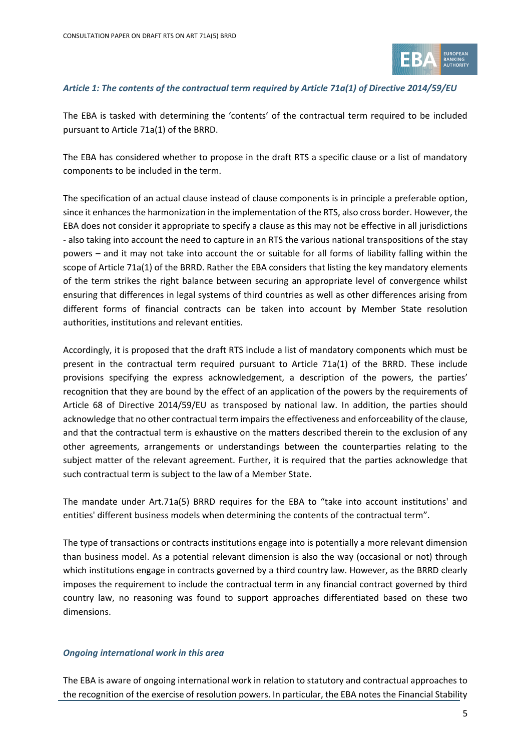

#### *Article 1: The contents of the contractual term required by Article 71a(1) of Directive 2014/59/EU*

The EBA is tasked with determining the 'contents' of the contractual term required to be included pursuant to Article 71a(1) of the BRRD.

The EBA has considered whether to propose in the draft RTS a specific clause or a list of mandatory components to be included in the term.

The specification of an actual clause instead of clause components is in principle a preferable option, since it enhances the harmonization in the implementation of the RTS, also cross border. However, the EBA does not consider it appropriate to specify a clause as this may not be effective in all jurisdictions - also taking into account the need to capture in an RTS the various national transpositions of the stay powers – and it may not take into account the or suitable for all forms of liability falling within the scope of Article 71a(1) of the BRRD. Rather the EBA considers that listing the key mandatory elements of the term strikes the right balance between securing an appropriate level of convergence whilst ensuring that differences in legal systems of third countries as well as other differences arising from different forms of financial contracts can be taken into account by Member State resolution authorities, institutions and relevant entities.

Accordingly, it is proposed that the draft RTS include a list of mandatory components which must be present in the contractual term required pursuant to Article 71a(1) of the BRRD. These include provisions specifying the express acknowledgement, a description of the powers, the parties' recognition that they are bound by the effect of an application of the powers by the requirements of Article 68 of Directive 2014/59/EU as transposed by national law. In addition, the parties should acknowledge that no other contractual term impairs the effectiveness and enforceability of the clause, and that the contractual term is exhaustive on the matters described therein to the exclusion of any other agreements, arrangements or understandings between the counterparties relating to the subject matter of the relevant agreement. Further, it is required that the parties acknowledge that such contractual term is subject to the law of a Member State.

The mandate under Art.71a(5) BRRD requires for the EBA to "take into account institutions' and entities' different business models when determining the contents of the contractual term".

The type of transactions or contracts institutions engage into is potentially a more relevant dimension than business model. As a potential relevant dimension is also the way (occasional or not) through which institutions engage in contracts governed by a third country law. However, as the BRRD clearly imposes the requirement to include the contractual term in any financial contract governed by third country law, no reasoning was found to support approaches differentiated based on these two dimensions.

#### *Ongoing international work in this area*

The EBA is aware of ongoing international work in relation to statutory and contractual approaches to the recognition of the exercise of resolution powers. In particular, the EBA notes the Financial Stability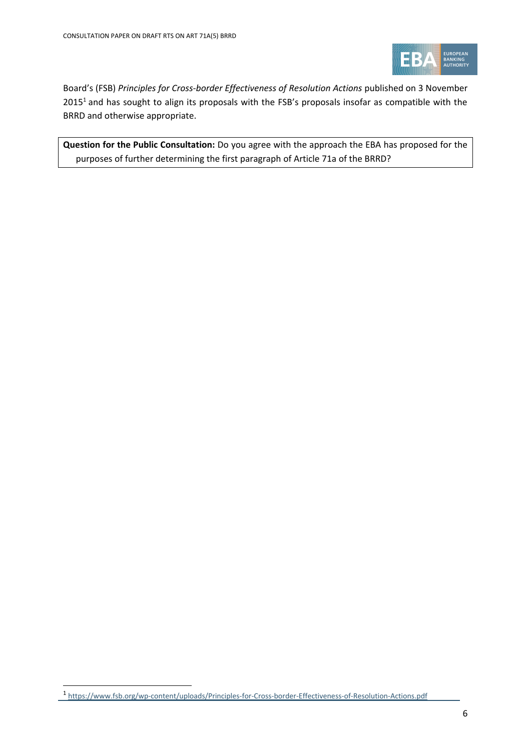

Board's (FSB) Principles for Cross-border Effectiveness of Resolution Actions published on 3 November 2015<sup>1</sup> and has sought to align its proposals with the FSB's proposals insofar as compatible with the BRRD and otherwise appropriate.

**Question for the Public Consultation:** Do you agree with the approach the EBA has proposed for the purposes of further determining the first paragraph of Article 71a of the BRRD?

1

<sup>&</sup>lt;sup>1</sup> <https://www.fsb.org/wp-content/uploads/Principles-for-Cross-border-Effectiveness-of-Resolution-Actions.pdf>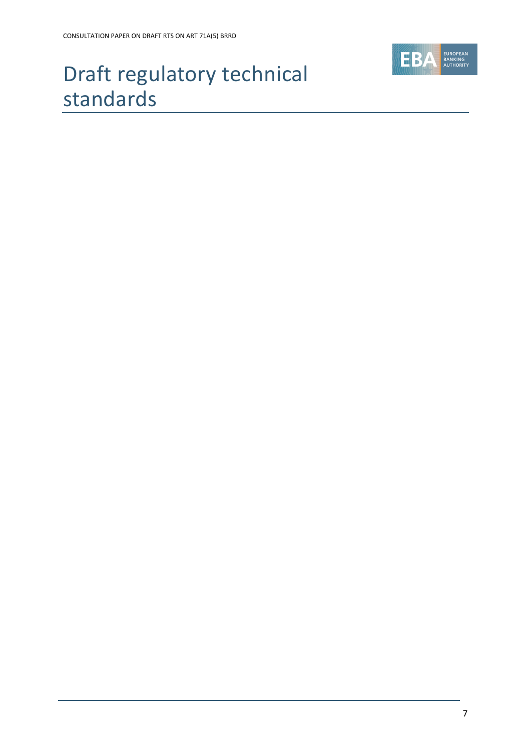

# <span id="page-7-0"></span>Draft regulatory technical standards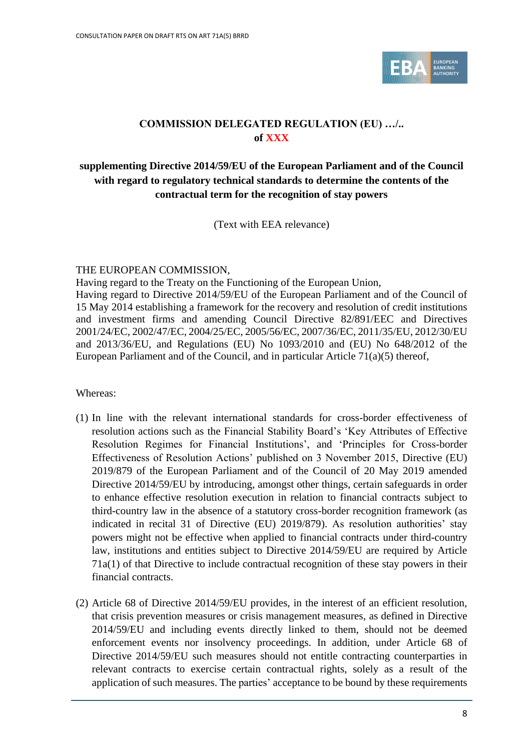

### **COMMISSION DELEGATED REGULATION (EU) …/.. of XXX**

### **supplementing Directive 2014/59/EU of the European Parliament and of the Council with regard to regulatory technical standards to determine the contents of the contractual term for the recognition of stay powers**

(Text with EEA relevance)

#### THE EUROPEAN COMMISSION,

Having regard to the Treaty on the Functioning of the European Union, Having regard to Directive 2014/59/EU of the European Parliament and of the Council of 15 May 2014 establishing a framework for the recovery and resolution of credit institutions and investment firms and amending Council Directive 82/891/EEC and Directives 2001/24/EC, 2002/47/EC, 2004/25/EC, 2005/56/EC, 2007/36/EC, 2011/35/EU, 2012/30/EU and 2013/36/EU, and Regulations (EU) No 1093/2010 and (EU) No 648/2012 of the European Parliament and of the Council, and in particular Article 71(a)(5) thereof,

Whereas:

- (1) In line with the relevant international standards for cross-border effectiveness of resolution actions such as the Financial Stability Board's 'Key Attributes of Effective Resolution Regimes for Financial Institutions', and 'Principles for Cross-border Effectiveness of Resolution Actions' published on 3 November 2015, Directive (EU) 2019/879 of the European Parliament and of the Council of 20 May 2019 amended Directive 2014/59/EU by introducing, amongst other things, certain safeguards in order to enhance effective resolution execution in relation to financial contracts subject to third-country law in the absence of a statutory cross-border recognition framework (as indicated in recital 31 of Directive (EU) 2019/879). As resolution authorities' stay powers might not be effective when applied to financial contracts under third-country law, institutions and entities subject to Directive 2014/59/EU are required by Article 71a(1) of that Directive to include contractual recognition of these stay powers in their financial contracts.
- (2) Article 68 of Directive 2014/59/EU provides, in the interest of an efficient resolution, that crisis prevention measures or crisis management measures, as defined in Directive 2014/59/EU and including events directly linked to them, should not be deemed enforcement events nor insolvency proceedings. In addition, under Article 68 of Directive 2014/59/EU such measures should not entitle contracting counterparties in relevant contracts to exercise certain contractual rights, solely as a result of the application of such measures. The parties' acceptance to be bound by these requirements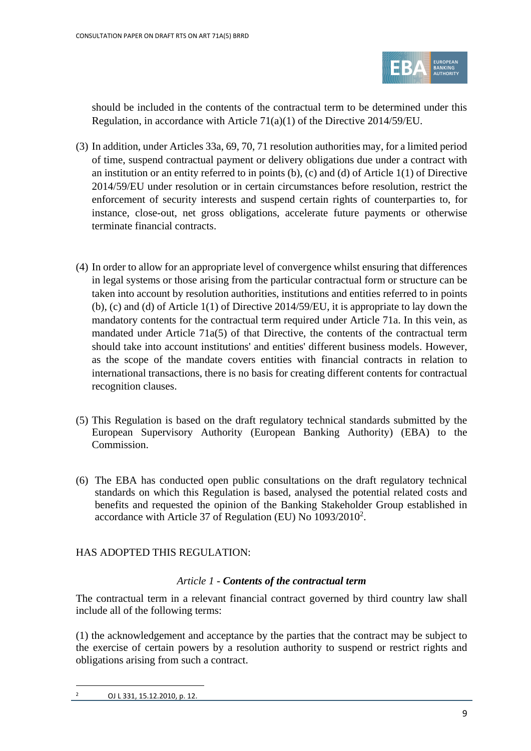

should be included in the contents of the contractual term to be determined under this Regulation, in accordance with Article 71(a)(1) of the Directive 2014/59/EU.

- (3) In addition, under Articles 33a, 69, 70, 71 resolution authorities may, for a limited period of time, suspend contractual payment or delivery obligations due under a contract with an institution or an entity referred to in points (b), (c) and (d) of Article 1(1) of Directive 2014/59/EU under resolution or in certain circumstances before resolution, restrict the enforcement of security interests and suspend certain rights of counterparties to, for instance, close-out, net gross obligations, accelerate future payments or otherwise terminate financial contracts.
- (4) In order to allow for an appropriate level of convergence whilst ensuring that differences in legal systems or those arising from the particular contractual form or structure can be taken into account by resolution authorities, institutions and entities referred to in points (b), (c) and (d) of Article 1(1) of Directive 2014/59/EU, it is appropriate to lay down the mandatory contents for the contractual term required under Article 71a. In this vein, as mandated under Article 71a(5) of that Directive, the contents of the contractual term should take into account institutions' and entities' different business models. However, as the scope of the mandate covers entities with financial contracts in relation to international transactions, there is no basis for creating different contents for contractual recognition clauses.
- (5) This Regulation is based on the draft regulatory technical standards submitted by the European Supervisory Authority (European Banking Authority) (EBA) to the Commission.
- (6) The EBA has conducted open public consultations on the draft regulatory technical standards on which this Regulation is based, analysed the potential related costs and benefits and requested the opinion of the Banking Stakeholder Group established in accordance with Article 37 of Regulation (EU) No 1093/2010<sup>2</sup>.

### HAS ADOPTED THIS REGULATION:

### *Article 1 - Contents of the contractual term*

The contractual term in a relevant financial contract governed by third country law shall include all of the following terms:

(1) the acknowledgement and acceptance by the parties that the contract may be subject to the exercise of certain powers by a resolution authority to suspend or restrict rights and obligations arising from such a contract.

 $\overline{a}$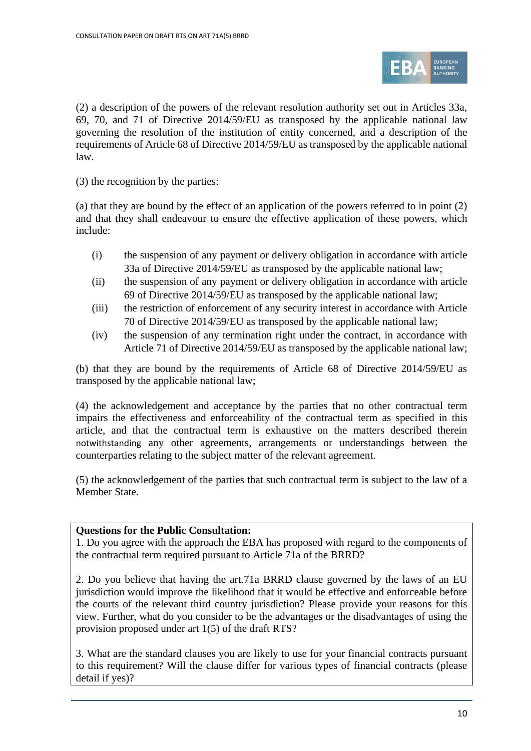

(2) a description of the powers of the relevant resolution authority set out in Articles 33a, 69, 70, and 71 of Directive 2014/59/EU as transposed by the applicable national law governing the resolution of the institution of entity concerned, and a description of the requirements of Article 68 of Directive 2014/59/EU as transposed by the applicable national law.

(3) the recognition by the parties:

(a) that they are bound by the effect of an application of the powers referred to in point (2) and that they shall endeavour to ensure the effective application of these powers, which include:

- (i) the suspension of any payment or delivery obligation in accordance with article 33a of Directive 2014/59/EU as transposed by the applicable national law;
- (ii) the suspension of any payment or delivery obligation in accordance with article 69 of Directive 2014/59/EU as transposed by the applicable national law;
- (iii) the restriction of enforcement of any security interest in accordance with Article 70 of Directive 2014/59/EU as transposed by the applicable national law;
- (iv) the suspension of any termination right under the contract, in accordance with Article 71 of Directive 2014/59/EU as transposed by the applicable national law;

(b) that they are bound by the requirements of Article 68 of Directive 2014/59/EU as transposed by the applicable national law;

(4) the acknowledgement and acceptance by the parties that no other contractual term impairs the effectiveness and enforceability of the contractual term as specified in this article, and that the contractual term is exhaustive on the matters described therein notwithstanding any other agreements, arrangements or understandings between the counterparties relating to the subject matter of the relevant agreement.

(5) the acknowledgement of the parties that such contractual term is subject to the law of a Member State.

#### **Questions for the Public Consultation:**

1. Do you agree with the approach the EBA has proposed with regard to the components of the contractual term required pursuant to Article 71a of the BRRD?

2. Do you believe that having the art.71a BRRD clause governed by the laws of an EU jurisdiction would improve the likelihood that it would be effective and enforceable before the courts of the relevant third country jurisdiction? Please provide your reasons for this view. Further, what do you consider to be the advantages or the disadvantages of using the provision proposed under art 1(5) of the draft RTS?

3. What are the standard clauses you are likely to use for your financial contracts pursuant to this requirement? Will the clause differ for various types of financial contracts (please detail if yes)?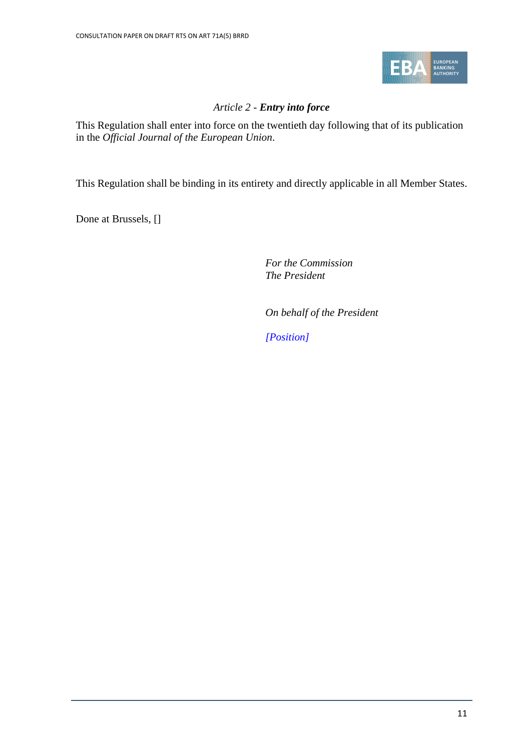

### *Article 2 - Entry into force*

This Regulation shall enter into force on the twentieth day following that of its publication in the *Official Journal of the European Union*.

This Regulation shall be binding in its entirety and directly applicable in all Member States.

Done at Brussels, []

*For the Commission The President*

*On behalf of the President*

*[Position]*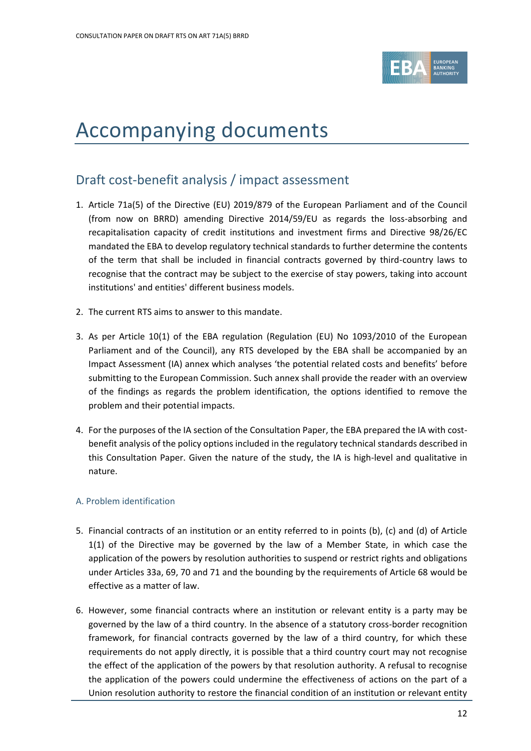

# <span id="page-12-0"></span>Accompanying documents

### <span id="page-12-1"></span>Draft cost-benefit analysis / impact assessment

- 1. Article 71a(5) of the Directive (EU) 2019/879 of the European Parliament and of the Council (from now on BRRD) amending Directive 2014/59/EU as regards the loss-absorbing and recapitalisation capacity of credit institutions and investment firms and Directive 98/26/EC mandated the EBA to develop regulatory technical standards to further determine the contents of the term that shall be included in financial contracts governed by third-country laws to recognise that the contract may be subject to the exercise of stay powers, taking into account institutions' and entities' different business models.
- 2. The current RTS aims to answer to this mandate.
- 3. As per Article 10(1) of the EBA regulation (Regulation (EU) No 1093/2010 of the European Parliament and of the Council), any RTS developed by the EBA shall be accompanied by an Impact Assessment (IA) annex which analyses 'the potential related costs and benefits' before submitting to the European Commission. Such annex shall provide the reader with an overview of the findings as regards the problem identification, the options identified to remove the problem and their potential impacts.
- 4. For the purposes of the IA section of the Consultation Paper, the EBA prepared the IA with costbenefit analysis of the policy options included in the regulatory technical standards described in this Consultation Paper. Given the nature of the study, the IA is high-level and qualitative in nature.

### A. Problem identification

- 5. Financial contracts of an institution or an entity referred to in points (b), (c) and (d) of Article 1(1) of the Directive may be governed by the law of a Member State, in which case the application of the powers by resolution authorities to suspend or restrict rights and obligations under Articles 33a, 69, 70 and 71 and the bounding by the requirements of Article 68 would be effective as a matter of law.
- 6. However, some financial contracts where an institution or relevant entity is a party may be governed by the law of a third country. In the absence of a statutory cross-border recognition framework, for financial contracts governed by the law of a third country, for which these requirements do not apply directly, it is possible that a third country court may not recognise the effect of the application of the powers by that resolution authority. A refusal to recognise the application of the powers could undermine the effectiveness of actions on the part of a Union resolution authority to restore the financial condition of an institution or relevant entity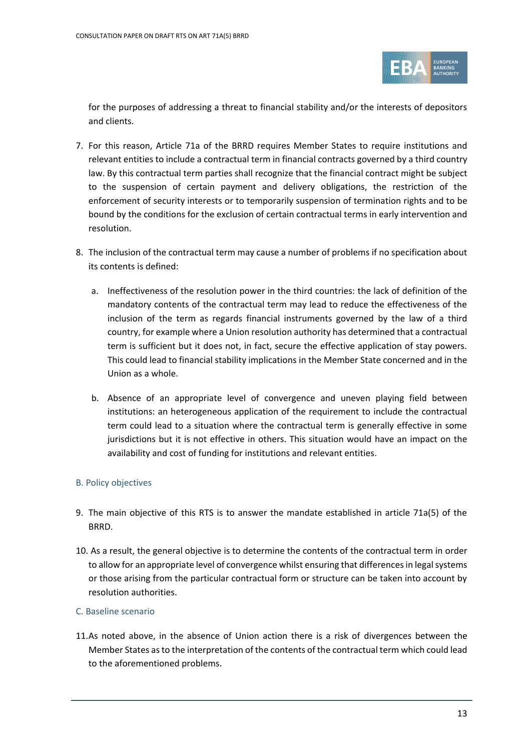

for the purposes of addressing a threat to financial stability and/or the interests of depositors and clients.

- 7. For this reason, Article 71a of the BRRD requires Member States to require institutions and relevant entities to include a contractual term in financial contracts governed by a third country law. By this contractual term parties shall recognize that the financial contract might be subject to the suspension of certain payment and delivery obligations, the restriction of the enforcement of security interests or to temporarily suspension of termination rights and to be bound by the conditions for the exclusion of certain contractual terms in early intervention and resolution.
- 8. The inclusion of the contractual term may cause a number of problems if no specification about its contents is defined:
	- a. Ineffectiveness of the resolution power in the third countries: the lack of definition of the mandatory contents of the contractual term may lead to reduce the effectiveness of the inclusion of the term as regards financial instruments governed by the law of a third country, for example where a Union resolution authority has determined that a contractual term is sufficient but it does not, in fact, secure the effective application of stay powers. This could lead to financial stability implications in the Member State concerned and in the Union as a whole.
	- b. Absence of an appropriate level of convergence and uneven playing field between institutions: an heterogeneous application of the requirement to include the contractual term could lead to a situation where the contractual term is generally effective in some jurisdictions but it is not effective in others. This situation would have an impact on the availability and cost of funding for institutions and relevant entities.

#### B. Policy objectives

- 9. The main objective of this RTS is to answer the mandate established in article 71a(5) of the BRRD.
- 10. As a result, the general objective is to determine the contents of the contractual term in order to allow for an appropriate level of convergence whilst ensuring that differences in legal systems or those arising from the particular contractual form or structure can be taken into account by resolution authorities.

#### C. Baseline scenario

11.As noted above, in the absence of Union action there is a risk of divergences between the Member States as to the interpretation of the contents of the contractual term which could lead to the aforementioned problems.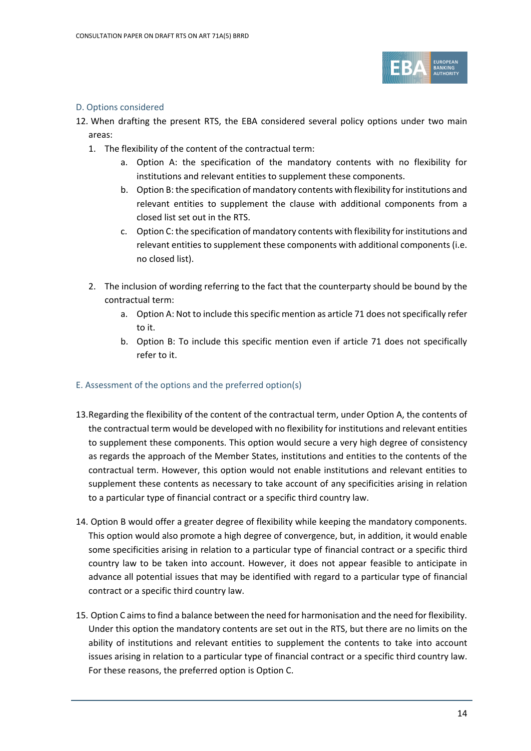

#### D. Options considered

- 12. When drafting the present RTS, the EBA considered several policy options under two main areas:
	- 1. The flexibility of the content of the contractual term:
		- a. Option A: the specification of the mandatory contents with no flexibility for institutions and relevant entities to supplement these components.
		- b. Option B: the specification of mandatory contents with flexibility for institutions and relevant entities to supplement the clause with additional components from a closed list set out in the RTS.
		- c. Option C: the specification of mandatory contents with flexibility for institutions and relevant entities to supplement these components with additional components (i.e. no closed list).
	- 2. The inclusion of wording referring to the fact that the counterparty should be bound by the contractual term:
		- a. Option A: Not to include this specific mention as article 71 does not specifically refer to it.
		- b. Option B: To include this specific mention even if article 71 does not specifically refer to it.

#### E. Assessment of the options and the preferred option(s)

- 13.Regarding the flexibility of the content of the contractual term, under Option A, the contents of the contractual term would be developed with no flexibility for institutions and relevant entities to supplement these components. This option would secure a very high degree of consistency as regards the approach of the Member States, institutions and entities to the contents of the contractual term. However, this option would not enable institutions and relevant entities to supplement these contents as necessary to take account of any specificities arising in relation to a particular type of financial contract or a specific third country law.
- 14. Option B would offer a greater degree of flexibility while keeping the mandatory components. This option would also promote a high degree of convergence, but, in addition, it would enable some specificities arising in relation to a particular type of financial contract or a specific third country law to be taken into account. However, it does not appear feasible to anticipate in advance all potential issues that may be identified with regard to a particular type of financial contract or a specific third country law.
- 15. Option C aims to find a balance between the need for harmonisation and the need for flexibility. Under this option the mandatory contents are set out in the RTS, but there are no limits on the ability of institutions and relevant entities to supplement the contents to take into account issues arising in relation to a particular type of financial contract or a specific third country law. For these reasons, the preferred option is Option C.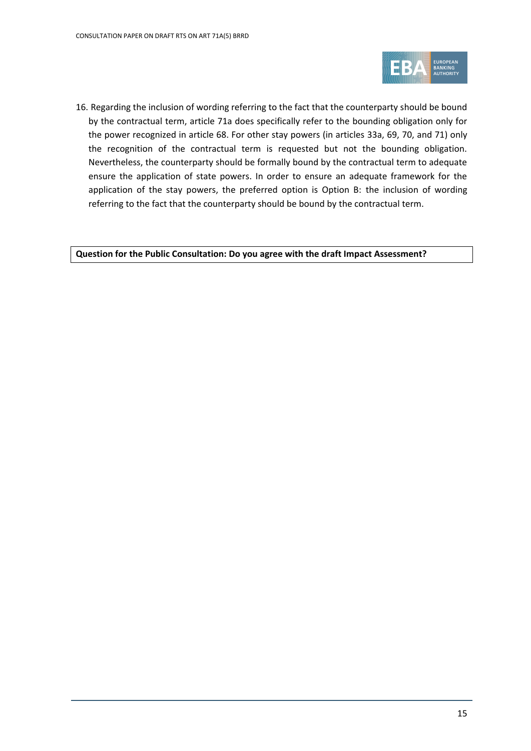

16. Regarding the inclusion of wording referring to the fact that the counterparty should be bound by the contractual term, article 71a does specifically refer to the bounding obligation only for the power recognized in article 68. For other stay powers (in articles 33a, 69, 70, and 71) only the recognition of the contractual term is requested but not the bounding obligation. Nevertheless, the counterparty should be formally bound by the contractual term to adequate ensure the application of state powers. In order to ensure an adequate framework for the application of the stay powers, the preferred option is Option B: the inclusion of wording referring to the fact that the counterparty should be bound by the contractual term.

**Question for the Public Consultation: Do you agree with the draft Impact Assessment?**